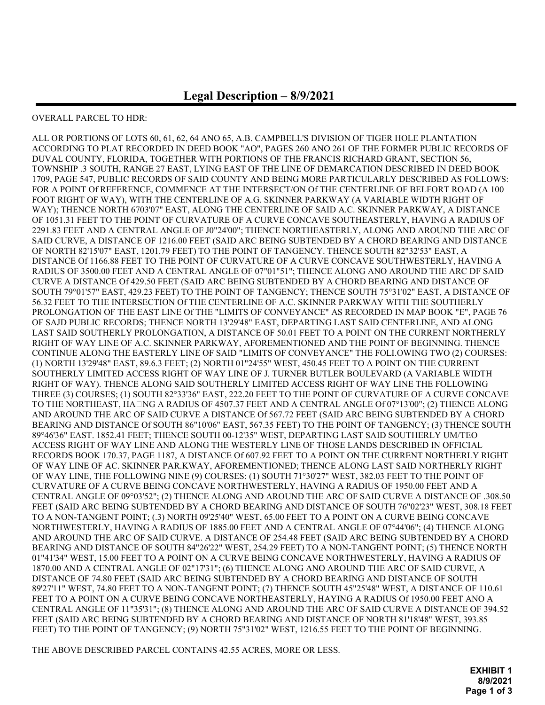## OVERALL PARCEL TO HDR:

ALL OR PORTIONS OF LOTS 60, 61, 62, 64 ANO 65, A.B. CAMPBELL'S DIVISION OF TIGER HOLE PLANTATION ACCORDING TO PLAT RECORDED IN DEED BOOK "AO", PAGES 260 ANO 261 OF THE FORMER PUBLIC RECORDS OF DUVAL COUNTY, FLORIDA, TOGETHER WITH PORTIONS OF THE FRANCIS RICHARD GRANT, SECTION 56, TOWNSHIP .3 SOUTH, RANGE 27 EAST, LYING EAST OF THE LINE OF DEMARCATION DESCRIBED IN DEED BOOK 1709, PAGE 547, PUBLIC RECORDS OF SAID COUNTY AND BEING MORE PARTICULARLY DESCRIBED AS FOLLOWS: FOR A POINT Of REFERENCE, COMMENCE AT THE INTERSECT/ON Of THE CENTERLINE OF BELFORT ROAD (A 100 FOOT RIGHT OF WAY), WITH THE CENTERLINE OF A.G. SKINNER PARKWAY (A VARIABLE WIDTH RIGHT OF WAY); THENCE NORTH 6703'07" EAST, ALONG THE CENTERLINE OF SAID A.C. SKINNER PARKWAY, A DISTANCE OF 1051.31 FEET TO THE POINT OF CURVATURE OF A CURVE CONCAVE SOUTHEASTERLY, HAVING A RADIUS OF 2291.83 FEET AND A CENTRAL ANGLE OF J0"24'00"; THENCE NORTHEASTERLY, ALONG AND AROUND THE ARC OF SAID CURVE, A DISTANCE OF 1216.00 FEET (SAID ARC BEING SUBTENDED BY A CHORD BEARING AND DISTANCE OF NORTH 82'15'07" EAST, 1201.79 FEET) TO THE POINT OF TANGENCY. THENCE SOUTH 82"32'53" EAST, A DISTANCE Of 1166.88 FEET TO THE POINT OF CURVATURE OF A CURVE CONCAVE SOUTHWESTERLY, HAVING A RADIUS OF 3500.00 FEET AND A CENTRAL ANGLE OF 07"01"51"; THENCE ALONG ANO AROUND THE ARC DF SAID CURVE A DISTANCE Of 429.50 FEET (SAID ARC BEING SUBTENDED BY A CHORD BEARING AND DISTANCE OF SOUTH 79°01'57" EAST, 429.23 FEET) TO THE POINT OF TANGENCY; THENCE SOUTH 75°31'02" EAST, A DISTANCE OF 56.32 FEET TO THE INTERSECTION Of THE CENTERLINE OF A.C. SKINNER PARKWAY WITH THE SOUTHERLY PROLONGATION OF THE EAST LINE Of THE "LIMITS OF CONVEYANCE" AS RECORDED IN MAP BOOK "E", PAGE 76 OF SAJD PUBLIC RECORDS; THENCE NORTH 13'29'48" EAST, DEPARTING LAST SAID CENTERLINE, AND ALONG LAST SAID SOUTHERLY PROLONGATION, A DISTANCE OF 50.01 FEET TO A POINT ON THE CURRENT NORTHERLY RIGHT OF WAY LINE OF A.C. SKINNER PARKWAY, AFOREMENTIONED AND THE POINT OF BEGINNING. THENCE CONTINUE ALONG THE EASTERLY LINE OF SAID "LIMITS OF CONVEYANCE" THE FOLI.OWING TWO (2) COURSES: (1) NORTH 13'29'48" EAST, 89.6.3 FEET; (2) NORTH 01"24'55" WEST, 450.45 FEET TO A POINT ON THE CURRENT SOUTHERLY LIMITED ACCESS RIGHT OF WAY LINE OF J. TURNER BUTLER BOULEVARD (A VARIABLE WIDTH RIGHT OF WAY). THENCE ALONG SAID SOUTHERLY LIMITED ACCESS RIGHT OF WAY LINE THE FOLLOWING THREE (3) COURSES; (1) SOUTH 82°33'36" EAST, 222.20 FEET TO THE POINT OF CURVATURE OF A CURVE CONCAVE TO THE NORTHEAST, HALNG A RADIUS OF 4507.37 FEET AND A CENTRAL ANGLE Of 07°13'00"; (2) THENCE ALONG AND AROUND THE ARC OF SAID CURVE A DISTANCE Of 567.72 FEET (SAID ARC BEING SUBTENDED BY A CHORD BEARING AND DISTANCE Of SOUTH 86"10'06" EAST, 567.35 FEET) TO THE POINT OF TANGENCY; (3) THENCE SOUTH 89°46'36" EAST. 1852.41 FEET; THENCE SOUTH 00-12'35" WEST, DEPARTING LAST SAID SOUTHERLY UM/TEO ACCESS RIGHT OF WAY LINE AND ALONG THE WESTERLY LINE OF THOSE LANDS DESCRIBED IN OFFICIAL RECORDS BOOK 170.37, PAGE 1187, A DISTANCE Of 607.92 FEET TO A POINT ON THE CURRENT NORTHERLY RIGHT OF WAY LINE OF AC. SKINNER PAR.KWAY, AFOREMENTIONED; THENCE ALONG LAST SAID NORTHERLY RIGHT OF WAY LINE, THE FOLLOWING NINE (9) COURSES: (1) SOUTH 71°30'27" WEST, 382.03 FEET TO THE POINT OF CURVATURE OF A CURVE BEING CONCAVE NORTHWESTERLY, HAVING A RADIUS OF 1950.00 FEET AND A CENTRAL ANGLE OF 09°03'52"; (2) THENCE ALONG AND AROUND THE ARC OF SAID CURVE A DISTANCE OF .308.50 FEET (SAID ARC BEING SUBTENDED BY A CHORD BEARING AND DISTANCE OF SOUTH 76"02'23" WEST, 308.18 FEET TO A NON-TANGENT POINT; (.3) NORTH 09'25'40" WEST, 65.00 FEET TO A POINT ON A CURVE BEING CONCAVE NORTHWESTERLY, HAVING A RADIUS OF 1885.00 FEET AND A CENTRAL ANGLE OF 07°44'06"; (4) THENCE ALONG AND AROUND THE ARC OF SAID CURVE. A DISTANCE OF 254.48 FEET (SAID ARC BEING SUBTENDED BY A CHORD BEARING AND DISTANCE OF SOUTH 84"26'22" WEST, 254.29 FEET) TO A NON-TANGENT POINT; (5) THENCE NORTH 01"41'34" WEST, 15.00 FEET TO A POINT ON A CURVE BEING CONCAVE NORTHWESTERLY, HAVING A RADIUS OF 1870.00 AND A CENTRAL ANGLE OF 02"17'31"; (6) THENCE ALONG ANO AROUND THE ARC OF SAID CURVE, A DISTANCE OF 74.80 FEET (SAID ARC BEING SUBTENDED BY A CHORD BEARING AND DISTANCE OF SOUTH 89'27'11" WEST, 74.80 FEET TO A NON-TANGENT POINT; (7) THENCE SOUTH 45"25'48" WEST, A DISTANCE OF 110.61 FEET TO A POINT ON A CURVE BEING CONCAVE NORTHEASTERLY, HAYING A RADIUS Of 1950.00 FEET ANO A CENTRAL ANGLE OF 11"35'31"; (8) THENCE ALONG AND AROUND THE ARC OF SAID CURVE A DISTANCE OF 394.52 FEET (SAID ARC BEING SUBTENDED BY A CHORD BEARING AND DISTANCE OF NORTH 81'18'48" WEST, 393.85 FEET) TO THE POINT OF TANGENCY; (9) NORTH 75"31'02" WEST, 1216.55 FEET TO THE POINT OF BEGINNING.

THE ABOVE DESCRIBED PARCEL CONTAINS 42.55 ACRES, MORE OR LESS.

EXHIBIT 1 8/9/2021 Page 1 of 3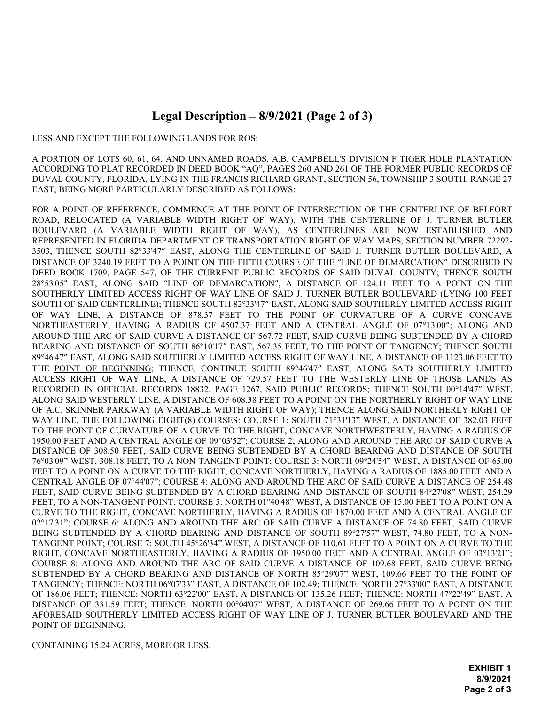## Legal Description – 8/9/2021 (Page 2 of 3)

LESS AND EXCEPT THE FOLLOWING LANDS FOR ROS:

A PORTION OF LOTS 60, 61, 64, AND UNNAMED ROADS, A.B. CAMPBELL'S DIVISION F TIGER HOLE PLANTATION ACCORDING TO PLAT RECORDED IN DEED BOOK "AQ", PAGES 260 AND 261 OF THE FORMER PUBLIC RECORDS OF DUVAL COUNTY, FLORIDA, LYING IN THE FRANCIS RICHARD GRANT, SECTION 56, TOWNSHIP 3 SOUTH, RANGE 27 EAST, BEING MORE PARTICULARLY DESCRIBED AS FOLLOWS:

FOR A POINT OF REFERENCE, COMMENCE AT THE POINT OF INTERSECTION OF THE CENTERLINE OF BELFORT ROAD, RELOCATED (A VARIABLE WIDTH RIGHT OF WAY), WITH THE CENTERLINE OF J. TURNER BUTLER BOULEVARD (A VARIABLE WIDTH RIGHT OF WAY), AS CENTERLINES ARE NOW ESTABLISHED AND REPRESENTED IN FLORIDA DEPARTMENT OF TRANSPORTATION RIGHT OF WAY MAPS, SECTION NUMBER 72292- 3503, THENCE SOUTH 82°33'47" EAST, ALONG THE CENTERLINE OF SAID J. TURNER BUTLER BOULEVARD, A DISTANCE OF 3240.19 FEET TO A POINT ON THE FIFTH COURSE OF THE "LINE OF DEMARCATION" DESCRIBED IN DEED BOOK 1709, PAGE 547, OF THE CURRENT PUBLIC RECORDS OF SAID DUVAL COUNTY; THENCE SOUTH 28°53'05" EAST, ALONG SAID "LINE OF DEMARCATION", A DISTANCE OF 124.11 FEET TO A POINT ON THE SOUTHERLY LIMITED ACCESS RIGHT OF WAY LINE OF SAID J. TURNER BUTLER BOULEVARD (LYING 100 FEET SOUTH OF SAID CENTERLINE); THENCE SOUTH 82°33'47" EAST, ALONG SAID SOUTHERLY LIMITED ACCESS RIGHT OF WAY LINE, A DISTANCE OF 878.37 FEET TO THE POINT OF CURVATURE OF A CURVE CONCAVE NORTHEASTERLY, HAVING A RADIUS OF 4507.37 FEET AND A CENTRAL ANGLE OF 07°13'00"; ALONG AND AROUND THE ARC OF SAID CURVE A DISTANCE OF 567.72 FEET, SAID CURVE BEING SUBTENDED BY A CHORD BEARING AND DISTANCE OF SOUTH 86°10'17" EAST, 567.35 FEET, TO THE POINT OF TANGENCY; THENCE SOUTH 89°46'47" EAST, ALONG SAID SOUTHERLY LIMITED ACCESS RIGHT OF WAY LINE, A DISTANCE OF 1123.06 FEET TO THE POINT OF BEGINNING; THENCE, CONTINUE SOUTH 89°46'47" EAST, ALONG SAID SOUTHERLY LIMITED ACCESS RIGHT OF WAY LINE, A DISTANCE OF 729.57 FEET TO THE WESTERLY LINE OF THOSE LANDS AS RECORDED IN OFFICIAL RECORDS 18832, PAGE 1267, SAID PUBLIC RECORDS; THENCE SOUTH 00°14'47" WEST, ALONG SAID WESTERLY LINE, A DISTANCE OF 608.38 FEET TO A POINT ON THE NORTHERLY RIGHT OF WAY LINE OF A.C. SKINNER PARKWAY (A VARIABLE WIDTH RIGHT OF WAY); THENCE ALONG SAID NORTHERLY RIGHT OF WAY LINE, THE FOLLOWING EIGHT(8) COURSES: COURSE 1: SOUTH 71°31'13" WEST, A DISTANCE OF 382.03 FEET TO THE POINT OF CURVATURE OF A CURVE TO THE RIGHT, CONCAVE NORTHWESTERLY, HAVING A RADIUS OF 1950.00 FEET AND A CENTRAL ANGLE OF 09°03'52"; COURSE 2; ALONG AND AROUND THE ARC OF SAID CURVE A DISTANCE OF 308.50 FEET, SAID CURVE BEING SUBTENDED BY A CHORD BEARING AND DISTANCE OF SOUTH 76°03'09" WEST, 308.18 FEET, TO A NON-TANGENT POINT; COURSE 3: NORTH 09°24'54" WEST, A DISTANCE OF 65.00 FEET TO A POINT ON A CURVE TO THE RIGHT, CONCAVE NORTHERLY, HAVING A RADIUS OF 1885.00 FEET AND A CENTRAL ANGLE OF 07°44'07"; COURSE 4: ALONG AND AROUND THE ARC OF SAID CURVE A DISTANCE OF 254.48 FEET, SAID CURVE BEING SUBTENDED BY A CHORD BEARING AND DISTANCE OF SOUTH 84°27'08" WEST, 254.29 FEET, TO A NON-TANGENT POINT; COURSE 5: NORTH 01°40'48" WEST, A DISTANCE OF 15.00 FEET TO A POINT ON A CURVE TO THE RIGHT, CONCAVE NORTHERLY, HAVING A RADIUS OF 1870.00 FEET AND A CENTRAL ANGLE OF 02°17'31"; COURSE 6: ALONG AND AROUND THE ARC OF SAID CURVE A DISTANCE OF 74.80 FEET, SAID CURVE BEING SUBTENDED BY A CHORD BEARING AND DISTANCE OF SOUTH 89°27'57" WEST, 74.80 FEET, TO A NON-TANGENT POINT; COURSE 7: SOUTH 45°26'34" WEST, A DISTANCE OF 110.61 FEET TO A POINT ON A CURVE TO THE RIGHT, CONCAVE NORTHEASTERLY, HAVING A RADIUS OF 1950.00 FEET AND A CENTRAL ANGLE OF 03°13'21"; COURSE 8: ALONG AND AROUND THE ARC OF SAID CURVE A DISTANCE OF 109.68 FEET, SAID CURVE BEING SUBTENDED BY A CHORD BEARING AND DISTANCE OF NORTH 85°29'07" WEST, 109.66 FEET TO THE POINT OF TANGENCY; THENCE: NORTH 06°07'33" EAST, A DISTANCE OF 102.49; THENCE: NORTH 27°33'00" EAST, A DISTANCE OF 186.06 FEET; THENCE: NORTH 63°22'00" EAST, A DISTANCE OF 135.26 FEET; THENCE: NORTH 47°22'49" EAST, A DISTANCE OF 331.59 FEET; THENCE: NORTH 00°04'07" WEST, A DISTANCE OF 269.66 FEET TO A POINT ON THE AFORESAID SOUTHERLY LIMITED ACCESS RIGHT OF WAY LINE OF J. TURNER BUTLER BOULEVARD AND THE POINT OF BEGINNING.

CONTAINING 15.24 ACRES, MORE OR LESS.

EXHIBIT 1 8/9/2021 **Page 2 of 3**